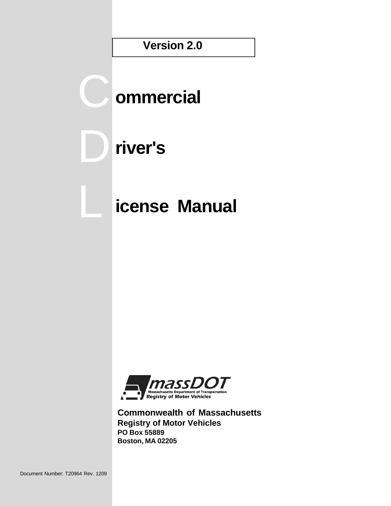**Version 2.0**

# **ommercial**

# **river's**

C

D

L

# **icense Manual**



**Commonwealth of Massachusetts Registry of Motor Vehicles PO Box 55889 Boston, MA 02205**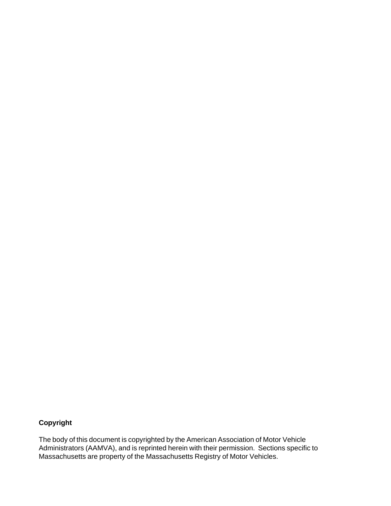## **Copyright**

The body of this document is copyrighted by the American Association of Motor Vehicle Administrators (AAMVA), and is reprinted herein with their permission. Sections specific to Massachusetts are property of the Massachusetts Registry of Motor Vehicles.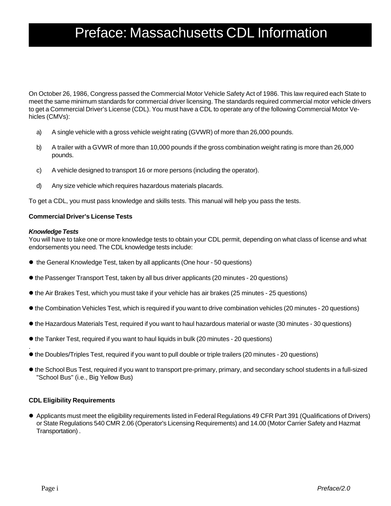## Preface: Massachusetts CDL Information

On October 26, 1986, Congress passed the Commercial Motor Vehicle Safety Act of 1986. This law required each State to meet the same minimum standards for commercial driver licensing. The standards required commercial motor vehicle drivers to get a Commercial Driver's License (CDL). You must have a CDL to operate any of the following Commercial Motor Vehicles (CMVs):

- a) A single vehicle with a gross vehicle weight rating (GVWR) of more than 26,000 pounds.
- b) A trailer with a GVWR of more than 10,000 pounds if the gross combination weight rating is more than 26,000 pounds.
- c) A vehicle designed to transport 16 or more persons (including the operator).
- d) Any size vehicle which requires hazardous materials placards.

To get a CDL, you must pass knowledge and skills tests. This manual will help you pass the tests.

#### **Commercial Driver's License Tests**

#### *Knowledge Tests*

.

You will have to take one or more knowledge tests to obtain your CDL permit, depending on what class of license and what endorsements you need. The CDL knowledge tests include:

- the General Knowledge Test, taken by all applicants (One hour 50 questions)
- $\bullet$  the Passenger Transport Test, taken by all bus driver applicants (20 minutes 20 questions)
- $\bullet$  the Air Brakes Test, which you must take if your vehicle has air brakes (25 minutes 25 questions)
- $\bullet$  the Combination Vehicles Test, which is required if you want to drive combination vehicles (20 minutes 20 questions)
- l the Hazardous Materials Test, required if you want to haul hazardous material or waste (30 minutes 30 questions)
- the Tanker Test, required if you want to haul liquids in bulk (20 minutes 20 questions)
- l the Doubles/Triples Test, required if you want to pull double or triple trailers (20 minutes 20 questions)
- l the School Bus Test, required if you want to transport pre-primary, primary, and secondary school students in a full-sized "School Bus" (i.e., Big Yellow Bus)

#### **CDL Eligibility Requirements**

l Applicants must meet the eligibility requirements listed in Federal Regulations 49 CFR Part 391 (Qualifications of Drivers) or State Regulations 540 CMR 2.06 (Operator's Licensing Requirements) and 14.00 (Motor Carrier Safety and Hazmat Transportation) .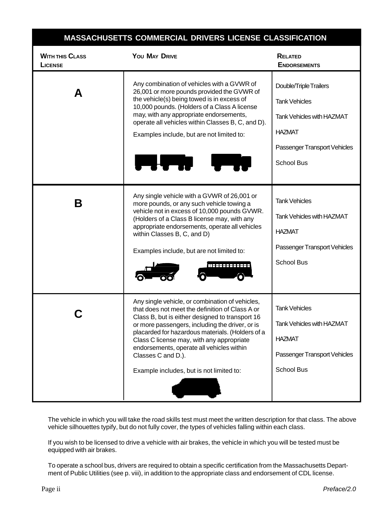|                                          | MASSACHUSETTS COMMERCIAL DRIVERS LICENSE CLASSIFICATION                                                                                                                                                                                                                                                                                                                                                                  |                                                                                                                                                          |
|------------------------------------------|--------------------------------------------------------------------------------------------------------------------------------------------------------------------------------------------------------------------------------------------------------------------------------------------------------------------------------------------------------------------------------------------------------------------------|----------------------------------------------------------------------------------------------------------------------------------------------------------|
| <b>WITH THIS CLASS</b><br><b>LICENSE</b> | YOU MAY DRIVE                                                                                                                                                                                                                                                                                                                                                                                                            | <b>RELATED</b><br><b>ENDORSEMENTS</b>                                                                                                                    |
| A                                        | Any combination of vehicles with a GVWR of<br>26,001 or more pounds provided the GVWR of<br>the vehicle(s) being towed is in excess of<br>10,000 pounds. (Holders of a Class A license<br>may, with any appropriate endorsements,<br>operate all vehicles within Classes B, C, and D).<br>Examples include, but are not limited to:<br><b>The Lighting</b>                                                               | Double/Triple Trailers<br><b>Tank Vehicles</b><br><b>Tank Vehicles with HAZMAT</b><br><b>HAZMAT</b><br>Passenger Transport Vehicles<br><b>School Bus</b> |
| Β                                        | Any single vehicle with a GVWR of 26,001 or<br>more pounds, or any such vehicle towing a<br>vehicle not in excess of 10,000 pounds GVWR.<br>(Holders of a Class B license may, with any<br>appropriate endorsements, operate all vehicles<br>within Classes B, C, and D)<br>Examples include, but are not limited to:<br>MEREEREEREE                                                                                     | <b>Tank Vehicles</b><br><b>Tank Vehicles with HAZMAT</b><br><b>HAZMAT</b><br>Passenger Transport Vehicles<br><b>School Bus</b>                           |
|                                          | Any single vehicle, or combination of vehicles,<br>that does not meet the definition of Class A or<br>Class B, but is either designed to transport 16<br>or more passengers, including the driver, or is<br>placarded for hazardous materials. (Holders of a<br>Class C license may, with any appropriate<br>endorsements, operate all vehicles within<br>Classes C and D.).<br>Example includes, but is not limited to: | <b>Tank Vehicles</b><br><b>Tank Vehicles with HAZMAT</b><br><b>HAZMAT</b><br>Passenger Transport Vehicles<br><b>School Bus</b>                           |

The vehicle in which you will take the road skills test must meet the written description for that class. The above vehicle silhouettes typify, but do not fully cover, the types of vehicles falling within each class.

If you wish to be licensed to drive a vehicle with air brakes, the vehicle in which you will be tested must be equipped with air brakes.

To operate a school bus, drivers are required to obtain a specific certification from the Massachusetts Department of Public Utilities (see p. viii), in addition to the appropriate class and endorsement of CDL license.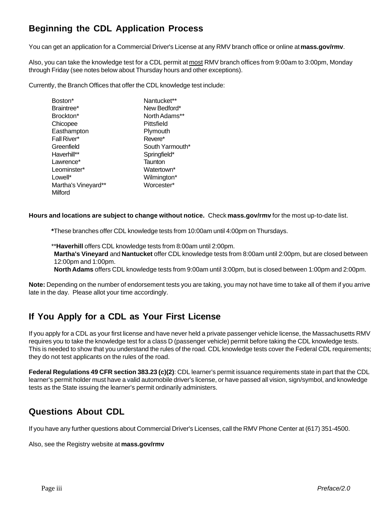## **Beginning the CDL Application Process**

You can get an application for a Commercial Driver's License at any RMV branch office or online at **mass.gov/rmv**.

Also, you can take the knowledge test for a CDL permit at most RMV branch offices from 9:00am to 3:00pm, Monday through Friday (see notes below about Thursday hours and other exceptions).

Currently, the Branch Offices that offer the CDL knowledge test include:

| Boston*             | Nantucket**            |
|---------------------|------------------------|
| Braintree*          | New Bedford*           |
| Brockton*           | North Adams**          |
| Chicopee            | Pittsfield             |
| Easthampton         | Plymouth               |
| Fall River*         | Revere*                |
| Greenfield          | South Yarmouth*        |
| Haverhill**         | Springfield*           |
| Lawrence*           | Taunton                |
| Leominster*         | Watertown <sup>*</sup> |
| Lowell*             | Wilmington*            |
| Martha's Vineyard** | Worcester*             |
| Milford             |                        |

**Hours and locations are subject to change without notice.** Check **mass.gov/rmv** for the most up-to-date list.

**\***These branches offer CDL knowledge tests from 10:00am until 4:00pm on Thursdays.

\*\***Haverhill** offers CDL knowledge tests from 8:00am until 2:00pm.

 **Martha's Vineyard** and **Nantucket** offer CDL knowledge tests from 8:00am until 2:00pm, but are closed between 12:00pm and 1:00pm.

**North Adams** offers CDL knowledge tests from 9:00am until 3:00pm, but is closed between 1:00pm and 2:00pm.

**Note:** Depending on the number of endorsement tests you are taking, you may not have time to take all of them if you arrive late in the day. Please allot your time accordingly.

## **If You Apply for a CDL as Your First License**

If you apply for a CDL as your first license and have never held a private passenger vehicle license, the Massachusetts RMV requires you to take the knowledge test for a class D (passenger vehicle) permit before taking the CDL knowledge tests. This is needed to show that you understand the rules of the road. CDL knowledge tests cover the Federal CDL requirements; they do not test applicants on the rules of the road.

**Federal Regulations 49 CFR section 383.23 (c)(2)**: CDL learner's permit issuance requirements state in part that the CDL learner's permit holder must have a valid automobile driver's license, or have passed all vision, sign/symbol, and knowledge tests as the State issuing the learner's permit ordinarily administers.

## **Questions About CDL**

If you have any further questions about Commercial Driver's Licenses, call the RMV Phone Center at (617) 351-4500.

Also, see the Registry website at **mass.gov/rmv**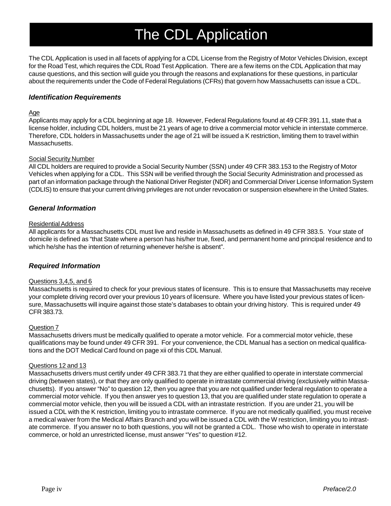# The CDL Application

The CDL Application is used in all facets of applying for a CDL License from the Registry of Motor Vehicles Division, except for the Road Test, which requires the CDL Road Test Application. There are a few items on the CDL Application that may cause questions, and this section will guide you through the reasons and explanations for these questions, in particular about the requirements under the Code of Federal Regulations (CFRs) that govern how Massachusetts can issue a CDL.

#### *Identification Requirements*

#### Age

Applicants may apply for a CDL beginning at age 18. However, Federal Regulations found at 49 CFR 391.11, state that a license holder, including CDL holders, must be 21 years of age to drive a commercial motor vehicle in interstate commerce. Therefore, CDL holders in Massachusetts under the age of 21 will be issued a K restriction, limiting them to travel within Massachusetts.

#### Social Security Number

All CDL holders are required to provide a Social Security Number (SSN) under 49 CFR 383.153 to the Registry of Motor Vehicles when applying for a CDL. This SSN will be verified through the Social Security Administration and processed as part of an information package through the National Driver Register (NDR) and Commercial Driver License Information System (CDLIS) to ensure that your current driving privileges are not under revocation or suspension elsewhere in the United States.

#### *General Information*

#### Residential Address

All applicants for a Massachusetts CDL must live and reside in Massachusetts as defined in 49 CFR 383.5. Your state of domicile is defined as "that State where a person has his/her true, fixed, and permanent home and principal residence and to which he/she has the intention of returning whenever he/she is absent".

#### *Required Information*

#### Questions 3,4,5, and 6

Massachusetts is required to check for your previous states of licensure. This is to ensure that Massachusetts may receive your complete driving record over your previous 10 years of licensure. Where you have listed your previous states of licensure, Massachusetts will inquire against those state's databases to obtain your driving history. This is required under 49 CFR 383.73.

#### Question 7

Massachusetts drivers must be medically qualified to operate a motor vehicle. For a commercial motor vehicle, these qualifications may be found under 49 CFR 391. For your convenience, the CDL Manual has a section on medical qualifications and the DOT Medical Card found on page xii of this CDL Manual.

#### Questions 12 and 13

Massachusetts drivers must certify under 49 CFR 383.71 that they are either qualified to operate in interstate commercial driving (between states), or that they are only qualified to operate in intrastate commercial driving (exclusively within Massachusetts). If you answer "No" to question 12, then you agree that you are not qualified under federal regulation to operate a commercial motor vehicle. If you then answer yes to question 13, that you are qualified under state regulation to operate a commercial motor vehicle, then you will be issued a CDL with an intrastate restriction. If you are under 21, you will be issued a CDL with the K restriction, limiting you to intrastate commerce. If you are not medically qualified, you must receive a medical waiver from the Medical Affairs Branch and you will be issued a CDL with the W restriction, limiting you to intrastate commerce. If you answer no to both questions, you will not be granted a CDL. Those who wish to operate in interstate commerce, or hold an unrestricted license, must answer "Yes" to question #12.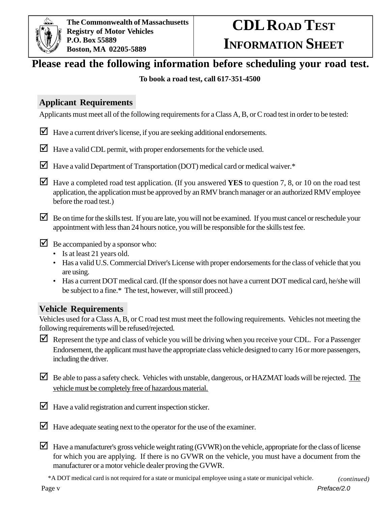

# **CDL ROAD TEST INFORMATION SHEET**

## **Please read the following information before scheduling your road test.**

## **To book a road test, call 617-351-4500**

## **Applicant Requirements**

Applicants must meet all of the following requirements for a Class A, B, or C road test in order to be tested:

- $\Box$  Have a current driver's license, if you are seeking additional endorsements.
- $\Box$  Have a valid CDL permit, with proper endorsements for the vehicle used.
- $\blacksquare$  Have a valid Department of Transportation (DOT) medical card or medical waiver. $*$
- $\blacksquare$  Have a completed road test application. (If you answered **YES** to question 7, 8, or 10 on the road test application, the application must be approved by an RMV branch manager or an authorized RMV employee before the road test.)
- $\Box$  Be on time for the skills test. If you are late, you will not be examined. If you must cancel or reschedule your appointment with less than 24 hours notice, you will be responsible for the skills test fee.
- $\triangleright$  Be accompanied by a sponsor who:
	- Is at least 21 years old.
	- Has a valid U.S. Commercial Driver's License with proper endorsements for the class of vehicle that you are using.
	- Has a current DOT medical card. (If the sponsor does not have a current DOT medical card, he/she will be subject to a fine.\* The test, however, will still proceed.)

## **Vehicle Requirements**

Vehicles used for a Class A, B, or C road test must meet the following requirements. Vehicles not meeting the following requirements will be refused/rejected.

- Represent the type and class of vehicle you will be driving when you receive your CDL. For a Passenger Endorsement, the applicant must have the appropriate class vehicle designed to carry 16 or more passengers, including the driver.
- $\Box$  Be able to pass a safety check. Vehicles with unstable, dangerous, or HAZMAT loads will be rejected. The vehicle must be completely free of hazardous material.
- $\Box$  Have a valid registration and current inspection sticker.
- $\blacksquare$  Have adequate seating next to the operator for the use of the examiner.
- $\Box$  Have a manufacturer's gross vehicle weight rating (GVWR) on the vehicle, appropriate for the class of license for which you are applying. If there is no GVWR on the vehicle, you must have a document from the manufacturer or a motor vehicle dealer proving the GVWR.

\*A DOT medical card is not required for a state or municipal employee using a state or municipal vehicle. *(continued)*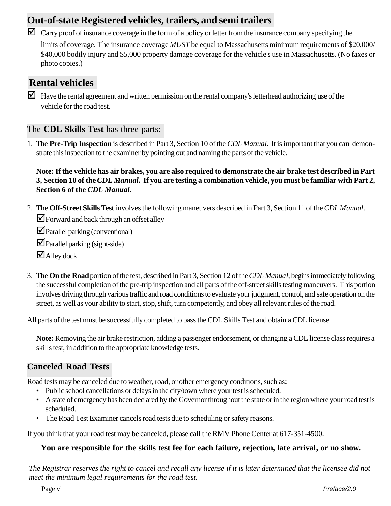## **Out-of-state Registered vehicles, trailers, and semi trailers**

 $\Box$  Carry proof of insurance coverage in the form of a policy or letter from the insurance company specifying the limits of coverage. The insurance coverage *MUST* be equal to Massachusetts minimum requirements of \$20,000/ \$40,000 bodily injury and \$5,000 property damage coverage for the vehicle's use in Massachusetts. (No faxes or photo copies.)

## **Rental vehicles**

 $\Box$  Have the rental agreement and written permission on the rental company's letterhead authorizing use of the vehicle for the road test.

## The **CDL Skills Test** has three parts:

1. The **Pre-Trip Inspection** is described in Part 3, Section 10 of the *CDL Manual.* It is important that you can demonstrate this inspection to the examiner by pointing out and naming the parts of the vehicle.

**Note: If the vehicle has air brakes, you are also required to demonstrate the air brake test described in Part 3, Section 10 of the** *CDL Manual***. If you are testing a combination vehicle, you must be familiar with Part 2, Section 6 of the** *CDL Manual***.**

2. The **Off-Street Skills Test** involves the following maneuvers described in Part 3, Section 11 of the *CDL Manual*.  $⊓$  Forward and back through an offset alley

**⊡**Parallel parking (conventional)

 $\Box$ Parallel parking (sight-side)

 $\blacksquare$ Alley dock

3. The **On the Road** portion of the test, described in Part 3, Section 12 of the *CDL Manual*, begins immediately following the successful completion of the pre-trip inspection and all parts of the off-street skills testing maneuvers. This portion involves driving through various traffic and road conditions to evaluate your judgment, control, and safe operation on the street, as well as your ability to start, stop, shift, turn competently, and obey all relevant rules of the road.

All parts of the test must be successfully completed to pass the CDL Skills Test and obtain a CDL license.

**Note:** Removing the air brake restriction, adding a passenger endorsement, or changing a CDL license class requires a skills test, in addition to the appropriate knowledge tests.

## **Canceled Road Tests**

Road tests may be canceled due to weather, road, or other emergency conditions, such as:

- Public school cancellations or delays in the city/town where your test is scheduled.
- A state of emergency has been declared by the Governor throughout the state or in the region where your road test is scheduled.
- The Road Test Examiner cancels road tests due to scheduling or safety reasons.

If you think that your road test may be canceled, please call the RMV Phone Center at 617-351-4500.

## **You are responsible for the skills test fee for each failure, rejection, late arrival, or no show.**

*The Registrar reserves the right to cancel and recall any license if it is later determined that the licensee did not meet the minimum legal requirements for the road test.*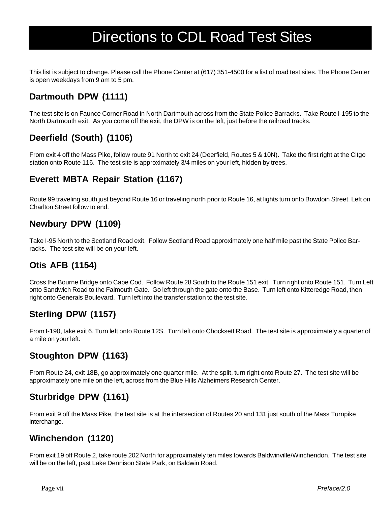## Directions to CDL Road Test Sites

This list is subject to change. Please call the Phone Center at (617) 351-4500 for a list of road test sites. The Phone Center is open weekdays from 9 am to 5 pm.

## **Dartmouth DPW (1111)**

The test site is on Faunce Corner Road in North Dartmouth across from the State Police Barracks. Take Route I-195 to the North Dartmouth exit. As you come off the exit, the DPW is on the left, just before the railroad tracks.

## **Deerfield (South) (1106)**

From exit 4 off the Mass Pike, follow route 91 North to exit 24 (Deerfield, Routes 5 & 10N). Take the first right at the Citgo station onto Route 116. The test site is approximately 3/4 miles on your left, hidden by trees.

## **Everett MBTA Repair Station (1167)**

Route 99 traveling south just beyond Route 16 or traveling north prior to Route 16, at lights turn onto Bowdoin Street. Left on Charlton Street follow to end.

## **Newbury DPW (1109)**

Take I-95 North to the Scotland Road exit. Follow Scotland Road approximately one half mile past the State Police Barracks. The test site will be on your left.

## **Otis AFB (1154)**

Cross the Bourne Bridge onto Cape Cod. Follow Route 28 South to the Route 151 exit. Turn right onto Route 151. Turn Left onto Sandwich Road to the Falmouth Gate. Go left through the gate onto the Base. Turn left onto Kitteredge Road, then right onto Generals Boulevard. Turn left into the transfer station to the test site.

## **Sterling DPW (1157)**

From I-190, take exit 6. Turn left onto Route 12S. Turn left onto Chocksett Road. The test site is approximately a quarter of a mile on your left.

## **Stoughton DPW (1163)**

From Route 24, exit 18B, go approximately one quarter mile. At the split, turn right onto Route 27. The test site will be approximately one mile on the left, across from the Blue Hills Alzheimers Research Center.

## **Sturbridge DPW (1161)**

From exit 9 off the Mass Pike, the test site is at the intersection of Routes 20 and 131 just south of the Mass Turnpike interchange.

## **Winchendon (1120)**

From exit 19 off Route 2, take route 202 North for approximately ten miles towards Baldwinville/Winchendon. The test site will be on the left, past Lake Dennison State Park, on Baldwin Road.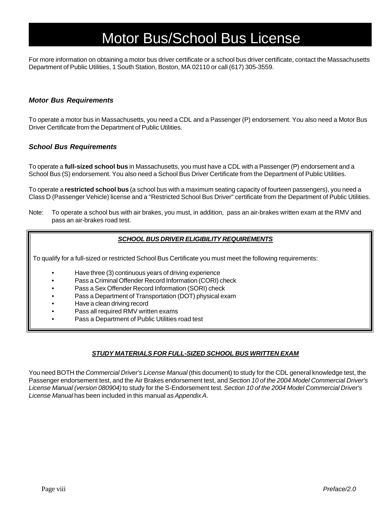## Motor Bus/School Bus License

For more information on obtaining a motor bus driver certificate or a school bus driver certificate, contact the Massachusetts Department of Public Utilities, 1 South Station, Boston, MA 02110 or call (617) 305-3559.

#### *Motor Bus Requirements*

To operate a motor bus in Massachusetts, you need a CDL and a Passenger (P) endorsement. You also need a Motor Bus Driver Certificate from the Department of Public Utilities.

#### *School Bus Requirements*

To operate a **full-sized school bus** in Massachusetts, you must have a CDL with a Passenger (P) endorsement and a School Bus (S) endorsement. You also need a School Bus Driver Certificate from the Department of Public Utilities.

To operate a **restricted school bus** (a school bus with a maximum seating capacity of fourteen passengers), you need a Class D (Passenger Vehicle) license and a "Restricted School Bus Driver" certificate from the Department of Public Utilities.

Note: To operate a school bus with air brakes, you must, in addition, pass an air-brakes written exam at the RMV and pass an air-brakes road test.

#### *SCHOOL BUS DRIVER ELIGIBILITY REQUIREMENTS*

To qualify for a full-sized or restricted School Bus Certificate you must meet the following requirements:

- Have three (3) continuous years of driving experience
- Pass a Criminal Offender Record Information (CORI) check
- Pass a Sex Offender Record Information (SORI) check
- Pass a Department of Transportation (DOT) physical exam
- Have a clean driving record
- Pass all required RMV written exams
- Pass a Department of Public Utilities road test

#### *STUDY MATERIALS FOR FULL-SIZED SCHOOL BUS WRITTEN EXAM*

You need BOTH the *Commercial Driver's License Manual* (this document) to study for the CDL general knowledge test, the Passenger endorsement test, and the Air Brakes endorsement test, and *Section 10 of the 2004 Model Commercial Driver's License Manual (version 080904)* to study for the S-Endorsement test. *Section 10 of the 2004 Model Commercial Driver's License Manual* has been included in this manual as *Appendix A*.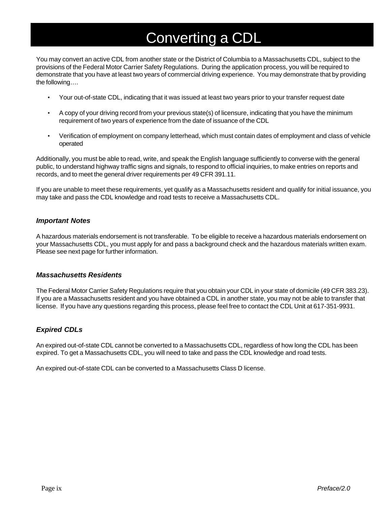## Converting a CDL

You may convert an active CDL from another state or the District of Columbia to a Massachusetts CDL, subject to the provisions of the Federal Motor Carrier Safety Regulations. During the application process, you will be required to demonstrate that you have at least two years of commercial driving experience. You may demonstrate that by providing the following….

- Your out-of-state CDL, indicating that it was issued at least two years prior to your transfer request date
- A copy of your driving record from your previous state(s) of licensure, indicating that you have the minimum requirement of two years of experience from the date of issuance of the CDL
- Verification of employment on company letterhead, which must contain dates of employment and class of vehicle operated

Additionally, you must be able to read, write, and speak the English language sufficiently to converse with the general public, to understand highway traffic signs and signals, to respond to official inquiries, to make entries on reports and records, and to meet the general driver requirements per 49 CFR 391.11.

If you are unable to meet these requirements, yet qualify as a Massachusetts resident and qualify for initial issuance, you may take and pass the CDL knowledge and road tests to receive a Massachusetts CDL.

#### *Important Notes*

A hazardous materials endorsement is not transferable. To be eligible to receive a hazardous materials endorsement on your Massachusetts CDL, you must apply for and pass a background check and the hazardous materials written exam. Please see next page for further information.

#### *Massachusetts Residents*

The Federal Motor Carrier Safety Regulations require that you obtain your CDL in your state of domicile (49 CFR 383.23). If you are a Massachusetts resident and you have obtained a CDL in another state, you may not be able to transfer that license. If you have any questions regarding this process, please feel free to contact the CDL Unit at 617-351-9931.

### *Expired CDLs*

An expired out-of-state CDL cannot be converted to a Massachusetts CDL, regardless of how long the CDL has been expired. To get a Massachusetts CDL, you will need to take and pass the CDL knowledge and road tests.

An expired out-of-state CDL can be converted to a Massachusetts Class D license.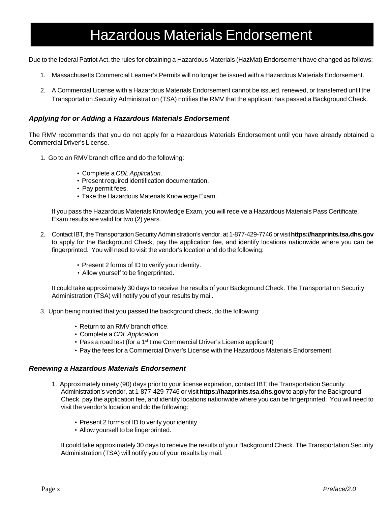## Hazardous Materials Endorsement

Due to the federal Patriot Act, the rules for obtaining a Hazardous Materials (HazMat) Endorsement have changed as follows:

- 1. Massachusetts Commercial Learner's Permits will no longer be issued with a Hazardous Materials Endorsement.
- 2. A Commercial License with a Hazardous Materials Endorsement cannot be issued, renewed, or transferred until the Transportation Security Administration (TSA) notifies the RMV that the applicant has passed a Background Check.

#### *Applying for or Adding a Hazardous Materials Endorsement*

The RMV recommends that you do not apply for a Hazardous Materials Endorsement until you have already obtained a Commercial Driver's License.

- 1. Go to an RMV branch office and do the following:
	- Complete a *CDL Application*.
	- Present required identification documentation.
	- Pay permit fees.
	- Take the Hazardous Materials Knowledge Exam.

If you pass the Hazardous Materials Knowledge Exam, you will receive a Hazardous Materials Pass Certificate. Exam results are valid for two (2) years.

- 2. Contact IBT, the Transportation Security Administration's vendor, at 1-877-429-7746 or visit **https://hazprints.tsa.dhs.gov** to apply for the Background Check, pay the application fee, and identify locations nationwide where you can be fingerprinted. You will need to visit the vendor's location and do the following:
	- Present 2 forms of ID to verify your identity.
	- Allow yourself to be fingerprinted.

It could take approximately 30 days to receive the results of your Background Check. The Transportation Security Administration (TSA) will notify you of your results by mail.

- 3. Upon being notified that you passed the background check, do the following:
	- Return to an RMV branch office.
	- Complete a *CDL Application*
	- Pass a road test (for a 1<sup>st</sup> time Commercial Driver's License applicant)
	- Pay the fees for a Commercial Driver's License with the Hazardous Materials Endorsement.

#### *Renewing a Hazardous Materials Endorsement*

- 1. Approximately ninety (90) days prior to your license expiration, contact IBT, the Transportation Security Administration's vendor, at 1-877-429-7746 or visit **https://hazprints.tsa.dhs.gov** to apply for the Background Check, pay the application fee, and identify locations nationwide where you can be fingerprinted. You will need to visit the vendor's location and do the following:
	- Present 2 forms of ID to verify your identity.
	- Allow yourself to be fingerprinted.

It could take approximately 30 days to receive the results of your Background Check. The Transportation Security Administration (TSA) will notify you of your results by mail.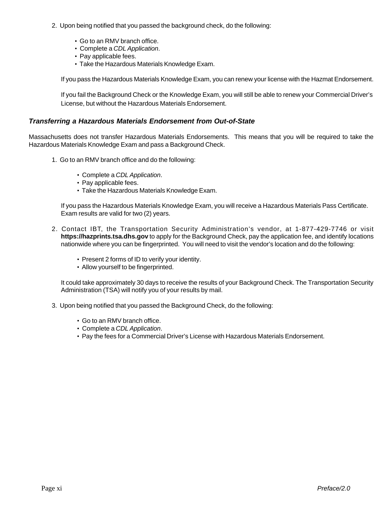- 2. Upon being notified that you passed the background check, do the following:
	- Go to an RMV branch office.
	- Complete a *CDL Application*.
	- Pay applicable fees.
	- Take the Hazardous Materials Knowledge Exam.

If you pass the Hazardous Materials Knowledge Exam, you can renew your license with the Hazmat Endorsement.

If you fail the Background Check or the Knowledge Exam, you will still be able to renew your Commercial Driver's License, but without the Hazardous Materials Endorsement.

#### *Transferring a Hazardous Materials Endorsement from Out-of-State*

Massachusetts does not transfer Hazardous Materials Endorsements. This means that you will be required to take the Hazardous Materials Knowledge Exam and pass a Background Check.

- 1. Go to an RMV branch office and do the following:
	- Complete a *CDL Application*.
	- Pay applicable fees.
	- Take the Hazardous Materials Knowledge Exam.

If you pass the Hazardous Materials Knowledge Exam, you will receive a Hazardous Materials Pass Certificate. Exam results are valid for two (2) years.

- 2. Contact IBT, the Transportation Security Administration's vendor, at 1-877-429-7746 or visit **https://hazprints.tsa.dhs.gov** to apply for the Background Check, pay the application fee, and identify locations nationwide where you can be fingerprinted. You will need to visit the vendor's location and do the following:
	- Present 2 forms of ID to verify your identity.
	- Allow yourself to be fingerprinted.

It could take approximately 30 days to receive the results of your Background Check. The Transportation Security Administration (TSA) will notify you of your results by mail.

- 3. Upon being notified that you passed the Background Check, do the following:
	- Go to an RMV branch office.
	- Complete a *CDL Application*.
	- Pay the fees for a Commercial Driver's License with Hazardous Materials Endorsement.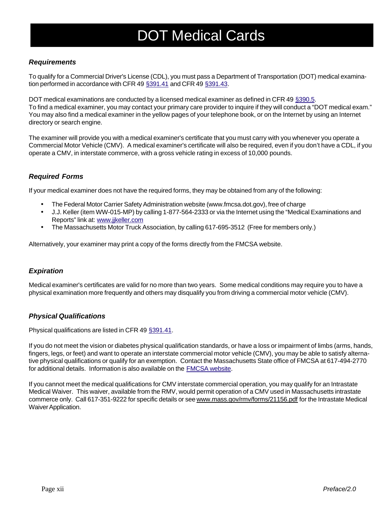# DOT Medical Cards

### *Requirements*

To qualify for a Commercial Driver's License (CDL), you must pass a Department of Transportation (DOT) medical examination performed in accordance with CFR 49 §391.41 and CFR 49 §391.43.

DOT medical examinations are conducted by a licensed medical examiner as defined in CFR 49 §390.5. To find a medical examiner, you may contact your primary care provider to inquire if they will conduct a "DOT medical exam." You may also find a medical examiner in the yellow pages of your telephone book, or on the Internet by using an Internet directory or search engine.

The examiner will provide you with a medical examiner's certificate that you must carry with you whenever you operate a Commercial Motor Vehicle (CMV). A medical examiner's certificate will also be required, even if you don't have a CDL, if you operate a CMV, in interstate commerce, with a gross vehicle rating in excess of 10,000 pounds.

## *Required Forms*

If your medical examiner does not have the required forms, they may be obtained from any of the following:

- The Federal Motor Carrier Safety Administration website (www.fmcsa.dot.gov), free of charge
- J.J. Keller (item WW-015-MP) by calling 1-877-564-2333 or via the Internet using the "Medical Examinations and Reports" link at: www.jjkeller.com
- The Massachusetts Motor Truck Association, by calling 617-695-3512 (Free for members only.)

Alternatively, your examiner may print a copy of the forms directly from the FMCSA website.

### *Expiration*

Medical examiner's certificates are valid for no more than two years. Some medical conditions may require you to have a physical examination more frequently and others may disqualify you from driving a commercial motor vehicle (CMV).

### *Physical Qualifications*

Physical qualifications are listed in CFR 49 §391.41.

If you do not meet the vision or diabetes physical qualification standards, or have a loss or impairment of limbs (arms, hands, fingers, legs, or feet) and want to operate an interstate commercial motor vehicle (CMV), you may be able to satisfy alternative physical qualifications or qualify for an exemption. Contact the Massachusetts State office of FMCSA at 617-494-2770 for additional details. Information is also available on the **FMCSA** website.

If you cannot meet the medical qualifications for CMV interstate commercial operation, you may qualify for an Intrastate Medical Waiver. This waiver, available from the RMV, would permit operation of a CMV used in Massachusetts intrastate commerce only. Call 617-351-9222 for specific details or see www.mass.gov/rmv/forms/21156.pdf for the Intrastate Medical Waiver Application.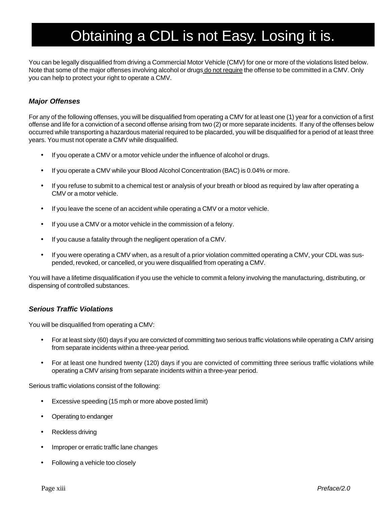## Obtaining a CDL is not Easy. Losing it is.

You can be legally disqualified from driving a Commercial Motor Vehicle (CMV) for one or more of the violations listed below. Note that some of the major offenses involving alcohol or drugs do not require the offense to be committed in a CMV. Only you can help to protect your right to operate a CMV.

### *Major Offenses*

For any of the following offenses, you will be disqualified from operating a CMV for at least one (1) year for a conviction of a first offense and life for a conviction of a second offense arising from two (2) or more separate incidents. If any of the offenses below occurred while transporting a hazardous material required to be placarded, you will be disqualified for a period of at least three years. You must not operate a CMV while disqualified.

- If you operate a CMV or a motor vehicle under the influence of alcohol or drugs.
- If you operate a CMV while your Blood Alcohol Concentration (BAC) is 0.04% or more.
- If you refuse to submit to a chemical test or analysis of your breath or blood as required by law after operating a CMV or a motor vehicle.
- If you leave the scene of an accident while operating a CMV or a motor vehicle.
- If you use a CMV or a motor vehicle in the commission of a felony.
- If you cause a fatality through the negligent operation of a CMV.
- If you were operating a CMV when, as a result of a prior violation committed operating a CMV, your CDL was suspended, revoked, or cancelled, or you were disqualified from operating a CMV.

You will have a lifetime disqualification if you use the vehicle to commit a felony involving the manufacturing, distributing, or dispensing of controlled substances.

### *Serious Traffic Violations*

You will be disqualified from operating a CMV:

- For at least sixty (60) days if you are convicted of committing two serious traffic violations while operating a CMV arising from separate incidents within a three-year period.
- For at least one hundred twenty (120) days if you are convicted of committing three serious traffic violations while operating a CMV arising from separate incidents within a three-year period.

Serious traffic violations consist of the following:

- Excessive speeding (15 mph or more above posted limit)
- Operating to endanger
- Reckless driving
- Improper or erratic traffic lane changes
- Following a vehicle too closely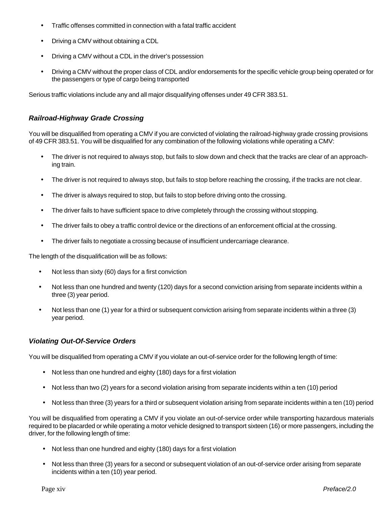- Traffic offenses committed in connection with a fatal traffic accident
- Driving a CMV without obtaining a CDL
- Driving a CMV without a CDL in the driver's possession
- Driving a CMV without the proper class of CDL and/or endorsements for the specific vehicle group being operated or for the passengers or type of cargo being transported

Serious traffic violations include any and all major disqualifying offenses under 49 CFR 383.51.

### *Railroad-Highway Grade Crossing*

You will be disqualified from operating a CMV if you are convicted of violating the railroad-highway grade crossing provisions of 49 CFR 383.51. You will be disqualified for any combination of the following violations while operating a CMV:

- The driver is not required to always stop, but fails to slow down and check that the tracks are clear of an approaching train.
- The driver is not required to always stop, but fails to stop before reaching the crossing, if the tracks are not clear.
- The driver is always required to stop, but fails to stop before driving onto the crossing.
- The driver fails to have sufficient space to drive completely through the crossing without stopping.
- The driver fails to obey a traffic control device or the directions of an enforcement official at the crossing.
- The driver fails to negotiate a crossing because of insufficient undercarriage clearance.

The length of the disqualification will be as follows:

- Not less than sixty (60) days for a first conviction
- Not less than one hundred and twenty (120) days for a second conviction arising from separate incidents within a three (3) year period.
- Not less than one (1) year for a third or subsequent conviction arising from separate incidents within a three (3) year period.

### *Violating Out-Of-Service Orders*

You will be disqualified from operating a CMV if you violate an out-of-service order for the following length of time:

- Not less than one hundred and eighty (180) days for a first violation
- Not less than two (2) years for a second violation arising from separate incidents within a ten (10) period
- Not less than three (3) years for a third or subsequent violation arising from separate incidents within a ten (10) period

You will be disqualified from operating a CMV if you violate an out-of-service order while transporting hazardous materials required to be placarded or while operating a motor vehicle designed to transport sixteen (16) or more passengers, including the driver, for the following length of time:

- Not less than one hundred and eighty (180) days for a first violation
- Not less than three (3) years for a second or subsequent violation of an out-of-service order arising from separate incidents within a ten (10) year period.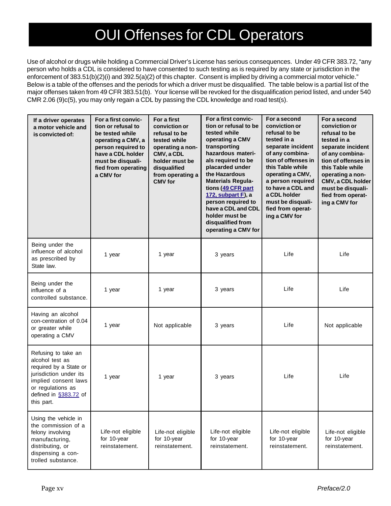## OUI Offenses for CDL Operators

Use of alcohol or drugs while holding a Commercial Driver's License has serious consequences. Under 49 CFR 383.72, "any person who holds a CDL is considered to have consented to such testing as is required by any state or jurisdiction in the enforcement of 383.51(b)(2)(i) and 392.5(a)(2) of this chapter. Consent is implied by driving a commercial motor vehicle." Below is a table of the offenses and the periods for which a driver must be disqualified. The table below is a partial list of the major offenses taken from 49 CFR 383.51(b). Your license will be revoked for the disqualification period listed, and under 540 CMR 2.06 (9)c(5), you may only regain a CDL by passing the CDL knowledge and road test(s).

| If a driver operates<br>a motor vehicle and<br>is convicted of:                                                                                                                | For a first convic-<br>tion or refusal to<br>be tested while<br>operating a CMV, a<br>person required to<br>have a CDL holder<br>must be disquali-<br>fied from operating<br>a CMV for | For a first<br>conviction or<br>refusal to be<br>tested while<br>operating a non-<br>CMV, a CDL<br>holder must be<br>disqualified<br>from operating a<br><b>CMV</b> for | For a first convic-<br>tion or refusal to be<br>tested while<br>operating a CMV<br>transporting<br>hazardous materi-<br>als required to be<br>placarded under<br>the Hazardous<br><b>Materials Regula-</b><br>tions (49 CFR part<br>172, subpart F), a<br>person required to<br>have a CDL and CDL<br>holder must be<br>disqualified from<br>operating a CMV for | For a second<br>conviction or<br>refusal to be<br>tested in a<br>separate incident<br>of any combina-<br>tion of offenses in<br>this Table while<br>operating a CMV,<br>a person required<br>to have a CDL and<br>a CDL holder<br>must be disquali-<br>fied from operat-<br>ing a CMV for | For a second<br>conviction or<br>refusal to be<br>tested in a<br>separate incident<br>of any combina-<br>tion of offenses in<br>this Table while<br>operating a non-<br>CMV, a CDL holder<br>must be disquali-<br>fied from operat-<br>ing a CMV for |
|--------------------------------------------------------------------------------------------------------------------------------------------------------------------------------|----------------------------------------------------------------------------------------------------------------------------------------------------------------------------------------|-------------------------------------------------------------------------------------------------------------------------------------------------------------------------|------------------------------------------------------------------------------------------------------------------------------------------------------------------------------------------------------------------------------------------------------------------------------------------------------------------------------------------------------------------|-------------------------------------------------------------------------------------------------------------------------------------------------------------------------------------------------------------------------------------------------------------------------------------------|------------------------------------------------------------------------------------------------------------------------------------------------------------------------------------------------------------------------------------------------------|
| Being under the<br>influence of alcohol<br>as prescribed by<br>State law.                                                                                                      | 1 year                                                                                                                                                                                 | 1 year                                                                                                                                                                  | 3 years                                                                                                                                                                                                                                                                                                                                                          | Life                                                                                                                                                                                                                                                                                      | Life                                                                                                                                                                                                                                                 |
| Being under the<br>influence of a<br>controlled substance.                                                                                                                     | 1 year                                                                                                                                                                                 | 1 year                                                                                                                                                                  | 3 years                                                                                                                                                                                                                                                                                                                                                          | Life                                                                                                                                                                                                                                                                                      | Life                                                                                                                                                                                                                                                 |
| Having an alcohol<br>con-centration of 0.04<br>or greater while<br>operating a CMV                                                                                             | 1 year                                                                                                                                                                                 | Not applicable                                                                                                                                                          | 3 years                                                                                                                                                                                                                                                                                                                                                          | Life                                                                                                                                                                                                                                                                                      | Not applicable                                                                                                                                                                                                                                       |
| Refusing to take an<br>alcohol test as<br>required by a State or<br>jurisdiction under its<br>implied consent laws<br>or regulations as<br>defined in §383.72 of<br>this part. | 1 year                                                                                                                                                                                 | 1 year                                                                                                                                                                  | 3 years                                                                                                                                                                                                                                                                                                                                                          | Life                                                                                                                                                                                                                                                                                      | Life                                                                                                                                                                                                                                                 |
| Using the vehicle in<br>the commission of a<br>felony involving<br>manufacturing,<br>distributing, or<br>dispensing a con-<br>trolled substance.                               | Life-not eligible<br>for 10-year<br>reinstatement.                                                                                                                                     | Life-not eligible<br>for 10-year<br>reinstatement.                                                                                                                      | Life-not eligible<br>for 10-year<br>reinstatement.                                                                                                                                                                                                                                                                                                               | Life-not eligible<br>for 10-year<br>reinstatement.                                                                                                                                                                                                                                        | Life-not eligible<br>for 10-year<br>reinstatement.                                                                                                                                                                                                   |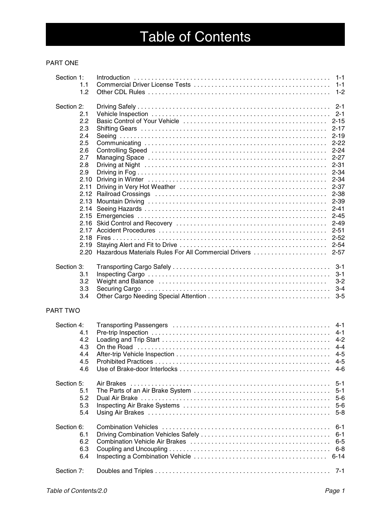# Table of Contents

#### PART ONE

| Section 1:                    | 1.1<br>1.2                                                                                  |                                                      |                                                                                                                                                                                                                                            |
|-------------------------------|---------------------------------------------------------------------------------------------|------------------------------------------------------|--------------------------------------------------------------------------------------------------------------------------------------------------------------------------------------------------------------------------------------------|
| Section 2:                    | 2.1<br>2.2<br>2.3<br>2.4<br>2.5<br>2.6<br>2.7<br>2.8<br>2.9<br>2.10<br>2.11<br>2.16<br>2.19 |                                                      | $2 - 1$<br>$2 - 1$<br>$2 - 15$<br>$2 - 17$<br>$2 - 19$<br>$2 - 22$<br>$2 - 24$<br>$2 - 27$<br>$2 - 31$<br>$2 - 34$<br>$2 - 34$<br>$2 - 37$<br>$2 - 38$<br>$2 - 39$<br>$2 - 41$<br>$2 - 45$<br>$2 - 49$<br>$2 - 51$<br>$2 - 52$<br>$2 - 54$ |
| Section 3:                    | 2.20<br>3.1<br>3.2<br>3.3<br>3.4                                                            | Hazardous Materials Rules For All Commercial Drivers | $2 - 57$<br>$3 - 1$<br>$3 - 1$<br>$3 - 2$<br>$3 - 4$<br>$3 - 5$                                                                                                                                                                            |
| <b>PART TWO</b><br>Section 4: | 4.1<br>4.2<br>4.3<br>4.4<br>4.5<br>4.6                                                      |                                                      | $4 - 1$<br>$4 - 1$<br>$4 - 2$<br>$4 - 4$<br>$4 - 5$<br>4-5<br>4-6                                                                                                                                                                          |
| Section 5:                    | 5.1<br>5.2<br>5.3<br>5.4                                                                    |                                                      | $5 - 1$<br>$5 - 1$<br>$5-6$<br>$5-6$<br>$5 - 8$                                                                                                                                                                                            |
| Section 6:                    | 6.1<br>6.2<br>6.3<br>6.4                                                                    |                                                      | $6 - 1$<br>$6 - 1$<br>$6 - 5$<br>$6 - 8$<br>$6 - 14$                                                                                                                                                                                       |
| Section 7:                    |                                                                                             |                                                      | $7 - 1$                                                                                                                                                                                                                                    |